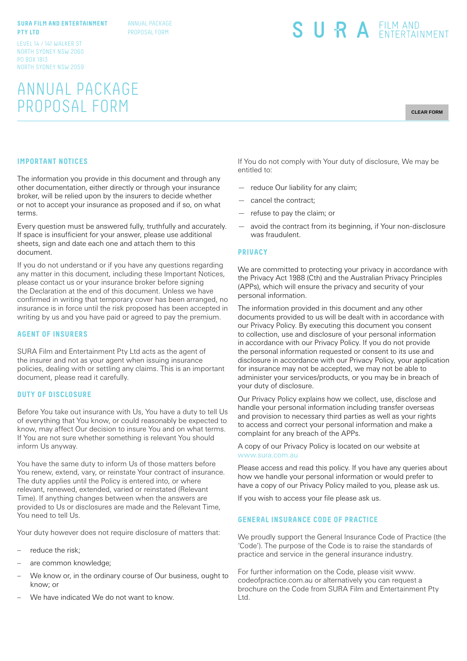#### **SURA FILM AND ENTERTAINMENT PTY LTD**

ANNUAL PACKAGE PROPOSAL FORM

LEVEL 14 / 141 WALKER ST NORTH SYDNEY NSW 2060 PO BOX 1813 NORTH SYDNEY NSW 2059

# ANNUAL PACKAGE PROPOSAL FORM

SURA EILM AND

**CLEAR FORM**

## **IMPORTANT NOTICES**

The information you provide in this document and through any other documentation, either directly or through your insurance broker, will be relied upon by the insurers to decide whether or not to accept your insurance as proposed and if so, on what terms.

Every question must be answered fully, truthfully and accurately. If space is insufficient for your answer, please use additional sheets, sign and date each one and attach them to this document.

If you do not understand or if you have any questions regarding any matter in this document, including these Important Notices, please contact us or your insurance broker before signing the Declaration at the end of this document. Unless we have confirmed in writing that temporary cover has been arranged, no insurance is in force until the risk proposed has been accepted in writing by us and you have paid or agreed to pay the premium.

#### **AGENT OF INSURERS**

SURA Film and Entertainment Pty Ltd acts as the agent of the insurer and not as your agent when issuing insurance policies, dealing with or settling any claims. This is an important document, please read it carefully.

#### **DUTY OF DISCLOSURE**

Before You take out insurance with Us, You have a duty to tell Us of everything that You know, or could reasonably be expected to know, may affect Our decision to insure You and on what terms. If You are not sure whether something is relevant You should inform Us anyway.

You have the same duty to inform Us of those matters before You renew, extend, vary, or reinstate Your contract of insurance. The duty applies until the Policy is entered into, or where relevant, renewed, extended, varied or reinstated (Relevant Time). If anything changes between when the answers are provided to Us or disclosures are made and the Relevant Time, You need to tell Us.

Your duty however does not require disclosure of matters that:

- reduce the risk;
- are common knowledge;
- We know or, in the ordinary course of Our business, ought to know; or
- We have indicated We do not want to know.

If You do not comply with Your duty of disclosure, We may be entitled to:

- reduce Our liability for any claim;
- cancel the contract;
- refuse to pay the claim; or
- avoid the contract from its beginning, if Your non-disclosure was fraudulent.

#### **PRIVACY**

We are committed to protecting your privacy in accordance with the Privacy Act 1988 (Cth) and the Australian Privacy Principles (APPs), which will ensure the privacy and security of your personal information.

The information provided in this document and any other documents provided to us will be dealt with in accordance with our Privacy Policy. By executing this document you consent to collection, use and disclosure of your personal information in accordance with our Privacy Policy. If you do not provide the personal information requested or consent to its use and disclosure in accordance with our Privacy Policy, your application for insurance may not be accepted, we may not be able to administer your services/products, or you may be in breach of your duty of disclosure.

Our Privacy Policy explains how we collect, use, disclose and handle your personal information including transfer overseas and provision to necessary third parties as well as your rights to access and correct your personal information and make a complaint for any breach of the APPs.

A copy of our Privacy Policy is located on our website at www.sura.com.au

Please access and read this policy. If you have any queries about how we handle your personal information or would prefer to have a copy of our Privacy Policy mailed to you, please ask us.

If you wish to access your file please ask us.

#### **GENERAL INSURANCE CODE OF PRACTICE**

We proudly support the General Insurance Code of Practice (the 'Code'). The purpose of the Code is to raise the standards of practice and service in the general insurance industry.

For further information on the Code, please visit www. codeofpractice.com.au or alternatively you can request a brochure on the Code from SURA Film and Entertainment Pty Ltd.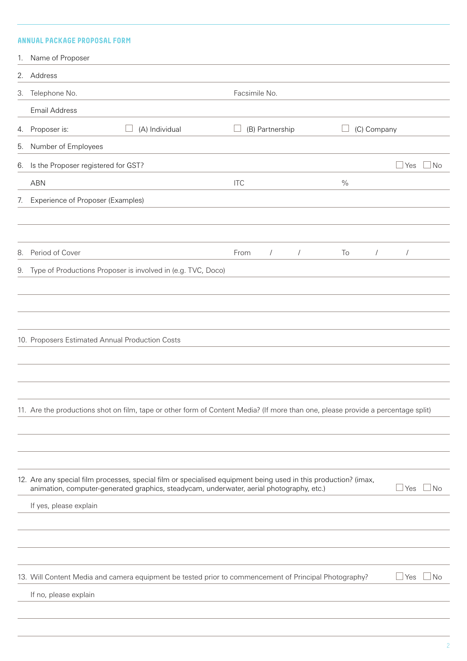# **ANNUAL PACKAGE PROPOSAL FORM**

|    | 1. Name of Proposer                                                                                                                                                                                                                   |                                  |                  |                            |
|----|---------------------------------------------------------------------------------------------------------------------------------------------------------------------------------------------------------------------------------------|----------------------------------|------------------|----------------------------|
|    | 2. Address                                                                                                                                                                                                                            |                                  |                  |                            |
|    | 3. Telephone No.                                                                                                                                                                                                                      | Facsimile No.                    |                  |                            |
|    | <b>Email Address</b>                                                                                                                                                                                                                  |                                  |                  |                            |
| 4. | (A) Individual<br>Proposer is:                                                                                                                                                                                                        | (B) Partnership                  | (C) Company      |                            |
| 5. | Number of Employees                                                                                                                                                                                                                   |                                  |                  |                            |
|    | 6. Is the Proposer registered for GST?                                                                                                                                                                                                |                                  |                  | $\mathsf{\perp}$ Yes<br>No |
|    | <b>ABN</b>                                                                                                                                                                                                                            | <b>ITC</b>                       | $\frac{0}{0}$    |                            |
| 7. | Experience of Proposer (Examples)                                                                                                                                                                                                     |                                  |                  |                            |
| 8. | Period of Cover                                                                                                                                                                                                                       | From<br>$\sqrt{2}$<br>$\sqrt{2}$ | To<br>$\sqrt{2}$ | $\sqrt{ }$                 |
| 9. | Type of Productions Proposer is involved in (e.g. TVC, Doco)                                                                                                                                                                          |                                  |                  |                            |
|    | 10. Proposers Estimated Annual Production Costs                                                                                                                                                                                       |                                  |                  |                            |
|    | 11. Are the productions shot on film, tape or other form of Content Media? (If more than one, please provide a percentage split)                                                                                                      |                                  |                  |                            |
|    | 12. Are any special film processes, special film or specialised equipment being used in this production? (imax,<br>animation, computer-generated graphics, steadycam, underwater, aerial photography, etc.)<br>If yes, please explain |                                  |                  | $\sqcup$ Yes<br><b>No</b>  |
|    |                                                                                                                                                                                                                                       |                                  |                  |                            |
|    | 13. Will Content Media and camera equipment be tested prior to commencement of Principal Photography?<br>If no, please explain                                                                                                        |                                  |                  | $\mathsf{\perp}$ Yes<br>No |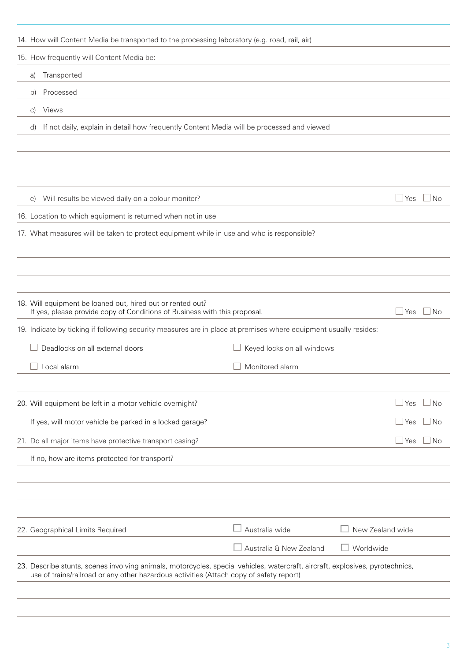| 14. How will Content Media be transported to the processing laboratory (e.g. road, rail, air)                                                                                                                            |                            |                                |
|--------------------------------------------------------------------------------------------------------------------------------------------------------------------------------------------------------------------------|----------------------------|--------------------------------|
| 15. How frequently will Content Media be:                                                                                                                                                                                |                            |                                |
| Transported<br>a)                                                                                                                                                                                                        |                            |                                |
| Processed<br>b)                                                                                                                                                                                                          |                            |                                |
| Views<br>$\circ$ )                                                                                                                                                                                                       |                            |                                |
| If not daily, explain in detail how frequently Content Media will be processed and viewed<br>$\mathsf{d}$                                                                                                                |                            |                                |
|                                                                                                                                                                                                                          |                            |                                |
|                                                                                                                                                                                                                          |                            |                                |
|                                                                                                                                                                                                                          |                            |                                |
| Will results be viewed daily on a colour monitor?<br>$\Theta$                                                                                                                                                            |                            | $\sqcup$ Yes<br>  No           |
| 16. Location to which equipment is returned when not in use                                                                                                                                                              |                            |                                |
| 17. What measures will be taken to protect equipment while in use and who is responsible?                                                                                                                                |                            |                                |
|                                                                                                                                                                                                                          |                            |                                |
|                                                                                                                                                                                                                          |                            |                                |
|                                                                                                                                                                                                                          |                            |                                |
| 18. Will equipment be loaned out, hired out or rented out?<br>If yes, please provide copy of Conditions of Business with this proposal.                                                                                  |                            | l No<br>l Yes                  |
| 19. Indicate by ticking if following security measures are in place at premises where equipment usually resides:                                                                                                         |                            |                                |
| Deadlocks on all external doors                                                                                                                                                                                          | Keyed locks on all windows |                                |
| Local alarm                                                                                                                                                                                                              | Monitored alarm            |                                |
|                                                                                                                                                                                                                          |                            |                                |
| 20. Will equipment be left in a motor vehicle overnight?                                                                                                                                                                 |                            | $\sqcup$ Yes<br>N <sub>o</sub> |
| If yes, will motor vehicle be parked in a locked garage?                                                                                                                                                                 |                            | l No<br>$\sqcup$ Yes           |
| 21. Do all major items have protective transport casing?                                                                                                                                                                 |                            | $\sqcup$ Yes<br>l No           |
| If no, how are items protected for transport?                                                                                                                                                                            |                            |                                |
|                                                                                                                                                                                                                          |                            |                                |
|                                                                                                                                                                                                                          |                            |                                |
|                                                                                                                                                                                                                          |                            |                                |
| 22. Geographical Limits Required                                                                                                                                                                                         | $\perp$ Australia wide     | New Zealand wide               |
|                                                                                                                                                                                                                          | Australia & New Zealand    | Worldwide                      |
| 23. Describe stunts, scenes involving animals, motorcycles, special vehicles, watercraft, aircraft, explosives, pyrotechnics,<br>use of trains/railroad or any other hazardous activities (Attach copy of safety report) |                            |                                |
|                                                                                                                                                                                                                          |                            |                                |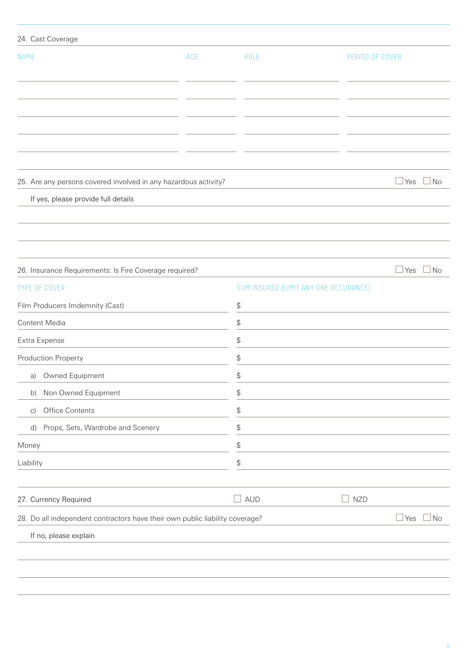| 24. Cast Coverage                                                            |     |                                               |                                       |                            |
|------------------------------------------------------------------------------|-----|-----------------------------------------------|---------------------------------------|----------------------------|
| <b>NAME</b>                                                                  | AGE | <b>ROLE</b>                                   | PERIOD OF COVER                       |                            |
|                                                                              |     |                                               |                                       |                            |
|                                                                              |     |                                               |                                       |                            |
|                                                                              |     |                                               |                                       |                            |
|                                                                              |     |                                               |                                       |                            |
|                                                                              |     |                                               |                                       |                            |
| 25. Are any persons covered involved in any hazardous activity?              |     |                                               |                                       | $\Box$ No<br>$\exists$ Yes |
| If yes, please provide full details                                          |     |                                               |                                       |                            |
|                                                                              |     |                                               |                                       |                            |
|                                                                              |     |                                               |                                       |                            |
|                                                                              |     |                                               |                                       |                            |
| 26. Insurance Requirements: Is Fire Coverage required?                       |     |                                               |                                       | $\Box$ Yes<br>$\Box$ No    |
| <b>TYPE OF COVER</b>                                                         |     |                                               | SUM INSURED (LIMIT ANY ONE OCCURANCE) |                            |
| Film Producers Imdemnity (Cast)                                              |     | $\, \, \raisebox{12pt}{$\scriptstyle \circ$}$ |                                       |                            |
| Content Media                                                                |     | \$                                            |                                       |                            |
| Extra Expense                                                                |     | $\, \, \raisebox{12pt}{$\scriptstyle \circ$}$ |                                       |                            |
| Production Property                                                          |     | \$                                            |                                       |                            |
| a) Owned Equipment                                                           |     | \$                                            |                                       |                            |
| Non Owned Equipment<br>b)                                                    |     | $\, \, \raisebox{12pt}{$\scriptstyle \circ$}$ |                                       |                            |
| Office Contents<br>$\vert$ C)                                                |     | $\, \, \raisebox{12pt}{$\scriptstyle \circ$}$ |                                       |                            |
| Props, Sets, Wardrobe and Scenery<br>d)                                      |     | \$                                            |                                       |                            |
| Money                                                                        |     | \$                                            |                                       |                            |
| Liability                                                                    |     | \$                                            |                                       |                            |
| 27. Currency Required                                                        |     | <b>AUD</b>                                    | <b>NZD</b><br>$\mathcal{A}$           |                            |
| 28. Do all independent contractors have their own public liability coverage? |     |                                               |                                       | $\Box$ Yes<br>$\exists$ No |
| If no, please explain                                                        |     |                                               |                                       |                            |
|                                                                              |     |                                               |                                       |                            |
|                                                                              |     |                                               |                                       |                            |
|                                                                              |     |                                               |                                       |                            |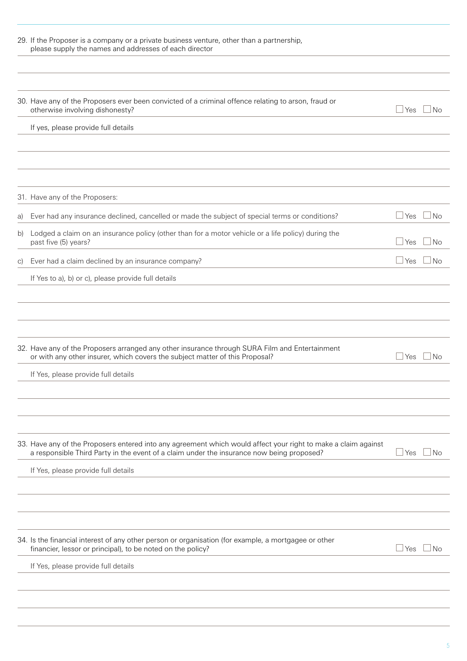|               | 29. If the Proposer is a company or a private business venture, other than a partnership,<br>please supply the names and addresses of each director                                                         |            |           |
|---------------|-------------------------------------------------------------------------------------------------------------------------------------------------------------------------------------------------------------|------------|-----------|
|               |                                                                                                                                                                                                             |            |           |
|               | 30. Have any of the Proposers ever been convicted of a criminal offence relating to arson, fraud or<br>otherwise involving dishonesty?                                                                      | ⊿ Yes      | $\Box$ No |
|               | If yes, please provide full details                                                                                                                                                                         |            |           |
|               |                                                                                                                                                                                                             |            |           |
|               |                                                                                                                                                                                                             |            |           |
|               | 31. Have any of the Proposers:                                                                                                                                                                              |            |           |
| a)            | Ever had any insurance declined, cancelled or made the subject of special terms or conditions?                                                                                                              | ⊥Yes       | ⊥No       |
| b)            | Lodged a claim on an insurance policy (other than for a motor vehicle or a life policy) during the<br>past five (5) years?                                                                                  | ⊥Yes       | <b>No</b> |
| $\mathcal{C}$ | Ever had a claim declined by an insurance company?                                                                                                                                                          | ∫Yes       | <b>No</b> |
|               | If Yes to a), b) or c), please provide full details                                                                                                                                                         |            |           |
|               |                                                                                                                                                                                                             |            |           |
|               | 32. Have any of the Proposers arranged any other insurance through SURA Film and Entertainment<br>or with any other insurer, which covers the subject matter of this Proposal?                              | ⊥Yes       | <b>No</b> |
|               | If Yes, please provide full details                                                                                                                                                                         |            |           |
|               |                                                                                                                                                                                                             |            |           |
|               |                                                                                                                                                                                                             |            |           |
|               | 33. Have any of the Proposers entered into any agreement which would affect your right to make a claim against<br>a responsible Third Party in the event of a claim under the insurance now being proposed? | <b>Yes</b> | l No      |
|               | If Yes, please provide full details                                                                                                                                                                         |            |           |
|               |                                                                                                                                                                                                             |            |           |
|               |                                                                                                                                                                                                             |            |           |
|               |                                                                                                                                                                                                             |            |           |
|               | 34. Is the financial interest of any other person or organisation (for example, a mortgagee or other<br>financier, lessor or principal), to be noted on the policy?                                         | ⊿Yes       | l No      |
|               | If Yes, please provide full details                                                                                                                                                                         |            |           |
|               |                                                                                                                                                                                                             |            |           |
|               |                                                                                                                                                                                                             |            |           |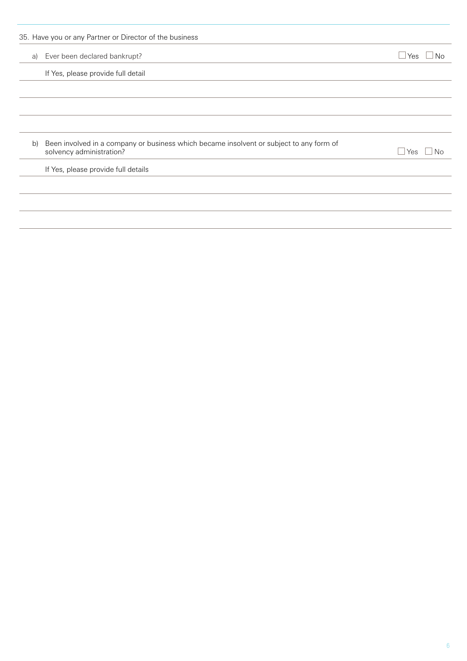|    | 35. Have you or any Partner or Director of the business                                                             |                    |
|----|---------------------------------------------------------------------------------------------------------------------|--------------------|
| a) | Ever been declared bankrupt?                                                                                        | ⊿ Yes<br>No        |
|    | If Yes, please provide full detail                                                                                  |                    |
|    |                                                                                                                     |                    |
|    |                                                                                                                     |                    |
|    |                                                                                                                     |                    |
| b) | Been involved in a company or business which became insolvent or subject to any form of<br>solvency administration? | $\sqcup$ Yes<br>No |
|    | If Yes, please provide full details                                                                                 |                    |
|    |                                                                                                                     |                    |
|    |                                                                                                                     |                    |
|    |                                                                                                                     |                    |